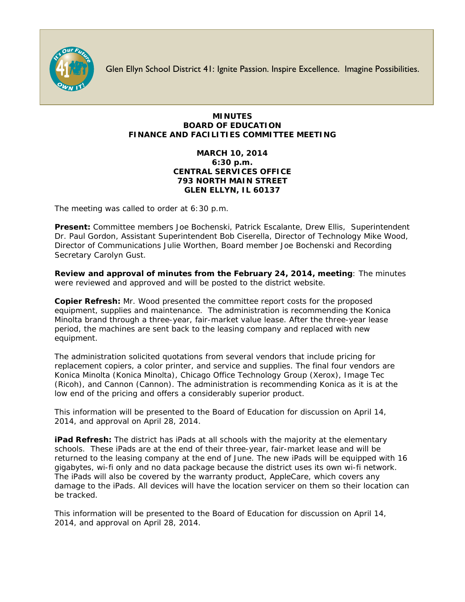

Glen Ellyn School District 41: Ignite Passion. Inspire Excellence. Imagine Possibilities.

## **MINUTES BOARD OF EDUCATION FINANCE AND FACILITIES COMMITTEE MEETING**

## **MARCH 10, 2014 6:30 p.m. CENTRAL SERVICES OFFICE 793 NORTH MAIN STREET GLEN ELLYN, IL 60137**

The meeting was called to order at 6:30 p.m.

**Present:** Committee members Joe Bochenski, Patrick Escalante, Drew Ellis, Superintendent Dr. Paul Gordon, Assistant Superintendent Bob Ciserella, Director of Technology Mike Wood, Director of Communications Julie Worthen, Board member Joe Bochenski and Recording Secretary Carolyn Gust.

**Review and approval of minutes from the February 24, 2014, meeting**: The minutes were reviewed and approved and will be posted to the district website.

**Copier Refresh:** Mr. Wood presented the committee report costs for the proposed equipment, supplies and maintenance. The administration is recommending the Konica Minolta brand through a three-year, fair-market value lease. After the three-year lease period, the machines are sent back to the leasing company and replaced with new equipment.

The administration solicited quotations from several vendors that include pricing for replacement copiers, a color printer, and service and supplies. The final four vendors are Konica Minolta (Konica Minolta), Chicago Office Technology Group (Xerox), Image Tec (Ricoh), and Cannon (Cannon). The administration is recommending Konica as it is at the low end of the pricing and offers a considerably superior product.

This information will be presented to the Board of Education for discussion on April 14, 2014, and approval on April 28, 2014.

**iPad Refresh:** The district has iPads at all schools with the majority at the elementary schools. These iPads are at the end of their three-year, fair-market lease and will be returned to the leasing company at the end of June. The new iPads will be equipped with 16 gigabytes, wi-fi only and no data package because the district uses its own wi-fi network. The iPads will also be covered by the warranty product, AppleCare, which covers any damage to the iPads. All devices will have the location servicer on them so their location can be tracked.

This information will be presented to the Board of Education for discussion on April 14, 2014, and approval on April 28, 2014.